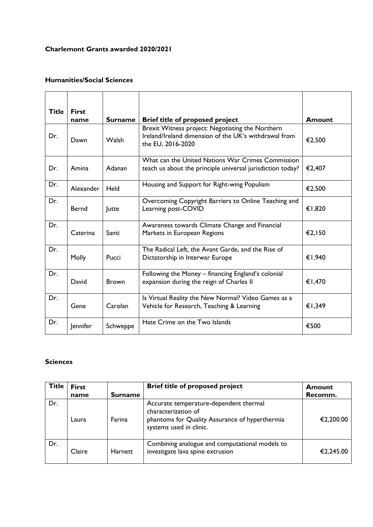## **Charlemont Grants awarded 2020/2021**

## **Humanities/Social Sciences**

| Title | <b>First</b><br>name | <b>Surname</b> | <b>Brief title of proposed project</b>                                                                                         | Amount |
|-------|----------------------|----------------|--------------------------------------------------------------------------------------------------------------------------------|--------|
| Dr.   | Dawn                 | <b>Walsh</b>   | Brexit Witness project: Negotiating the Northern<br>Ireland/Ireland dimension of the UK's withdrawal from<br>the EU, 2016-2020 | €2,500 |
| Dr.   | Amina                | Adanan         | What can the United Nations War Crimes Commission<br>teach us about the principle universal jurisdiction today?                | €2,407 |
| Dr.   | Alexander            | Held           | Housing and Support for Right-wing Populism                                                                                    | €2,500 |
| Dr.   | <b>Bernd</b>         | Jutte          | Overcoming Copyright Barriers to Online Teaching and<br>Learning post-COVID                                                    | €1,820 |
| Dr.   | Caterina             | Santi          | Awareness towards Climate Change and Financial<br>Markets in European Regions                                                  | €2,150 |
| Dr.   | Molly                | Pucci          | The Radical Left, the Avant Garde, and the Rise of<br>Dictatorship in Interwar Europe                                          | €1,940 |
| Dr.   | David                | <b>Brown</b>   | Following the Money - financing England's colonial<br>expansion during the reign of Charles II                                 | €1,470 |
| Dr.   | Gene                 | Carolan        | Is Virtual Reality the New Normal? Video Games as a<br>Vehicle for Research, Teaching & Learning                               | €1,349 |
| Dr.   | Jennifer             | Schweppe       | Hate Crime on the Two Islands                                                                                                  | €500   |

## **Sciences**

| <b>Title</b> | <b>First</b> |                | <b>Brief title of proposed project</b>                                                                                                     | <b>Amount</b> |
|--------------|--------------|----------------|--------------------------------------------------------------------------------------------------------------------------------------------|---------------|
|              | name         | <b>Surname</b> |                                                                                                                                            | Recomm.       |
| Dr.          | Laura        | Farina         | Accurate temperature-dependent thermal<br>characterization of<br>phantoms for Quality Assurance of hyperthermia<br>systems used in clinic. | €2,200.00     |
| Dr.          | Claire       | <b>Harnett</b> | Combining analogue and computational models to<br>investigate lava spine extrusion                                                         | €2,245.00     |